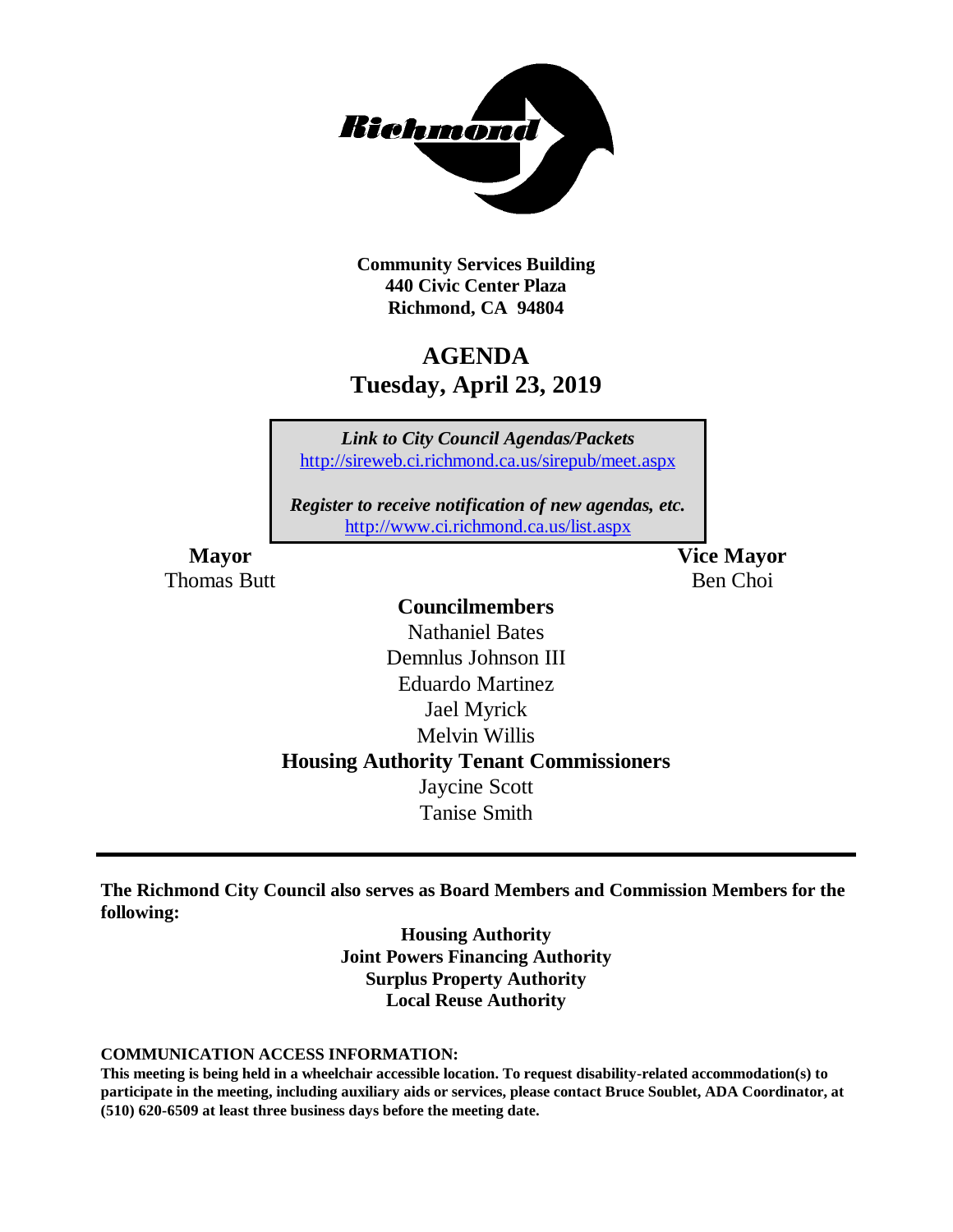

**Community Services Building 440 Civic Center Plaza Richmond, CA 94804**

# **AGENDA Tuesday, April 23, 2019**

*Link to City Council Agendas/Packets* <http://sireweb.ci.richmond.ca.us/sirepub/meet.aspx>

*Register to receive notification of new agendas, etc.* <http://www.ci.richmond.ca.us/list.aspx>

Thomas Butt **Ben Choi** 

**Mayor Vice Mayor**

### **Councilmembers**

Nathaniel Bates Demnlus Johnson III Eduardo Martinez Jael Myrick Melvin Willis **Housing Authority Tenant Commissioners** Jaycine Scott Tanise Smith

**The Richmond City Council also serves as Board Members and Commission Members for the following:**

> **Housing Authority Joint Powers Financing Authority Surplus Property Authority Local Reuse Authority**

#### **COMMUNICATION ACCESS INFORMATION:**

**This meeting is being held in a wheelchair accessible location. To request disability-related accommodation(s) to participate in the meeting, including auxiliary aids or services, please contact Bruce Soublet, ADA Coordinator, at (510) 620-6509 at least three business days before the meeting date.**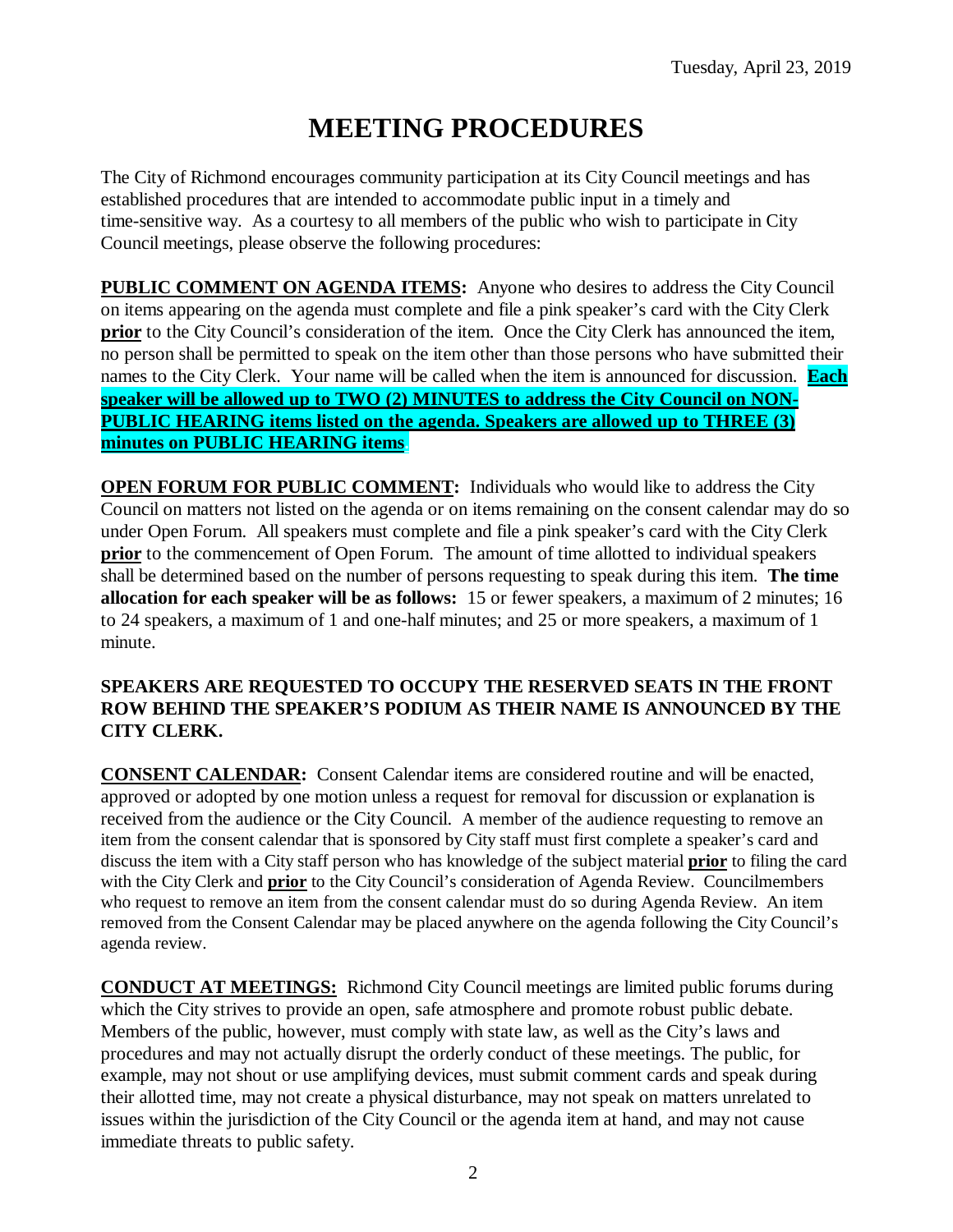# **MEETING PROCEDURES**

The City of Richmond encourages community participation at its City Council meetings and has established procedures that are intended to accommodate public input in a timely and time-sensitive way. As a courtesy to all members of the public who wish to participate in City Council meetings, please observe the following procedures:

**PUBLIC COMMENT ON AGENDA ITEMS:** Anyone who desires to address the City Council on items appearing on the agenda must complete and file a pink speaker's card with the City Clerk **prior** to the City Council's consideration of the item. Once the City Clerk has announced the item, no person shall be permitted to speak on the item other than those persons who have submitted their names to the City Clerk. Your name will be called when the item is announced for discussion. **Each speaker will be allowed up to TWO (2) MINUTES to address the City Council on NON-PUBLIC HEARING items listed on the agenda. Speakers are allowed up to THREE (3) minutes on PUBLIC HEARING items.**

**OPEN FORUM FOR PUBLIC COMMENT:** Individuals who would like to address the City Council on matters not listed on the agenda or on items remaining on the consent calendar may do so under Open Forum. All speakers must complete and file a pink speaker's card with the City Clerk **prior** to the commencement of Open Forum. The amount of time allotted to individual speakers shall be determined based on the number of persons requesting to speak during this item. **The time allocation for each speaker will be as follows:** 15 or fewer speakers, a maximum of 2 minutes; 16 to 24 speakers, a maximum of 1 and one-half minutes; and 25 or more speakers, a maximum of 1 minute.

### **SPEAKERS ARE REQUESTED TO OCCUPY THE RESERVED SEATS IN THE FRONT ROW BEHIND THE SPEAKER'S PODIUM AS THEIR NAME IS ANNOUNCED BY THE CITY CLERK.**

**CONSENT CALENDAR:** Consent Calendar items are considered routine and will be enacted, approved or adopted by one motion unless a request for removal for discussion or explanation is received from the audience or the City Council. A member of the audience requesting to remove an item from the consent calendar that is sponsored by City staff must first complete a speaker's card and discuss the item with a City staff person who has knowledge of the subject material **prior** to filing the card with the City Clerk and **prior** to the City Council's consideration of Agenda Review. Councilmembers who request to remove an item from the consent calendar must do so during Agenda Review. An item removed from the Consent Calendar may be placed anywhere on the agenda following the City Council's agenda review.

**CONDUCT AT MEETINGS:** Richmond City Council meetings are limited public forums during which the City strives to provide an open, safe atmosphere and promote robust public debate. Members of the public, however, must comply with state law, as well as the City's laws and procedures and may not actually disrupt the orderly conduct of these meetings. The public, for example, may not shout or use amplifying devices, must submit comment cards and speak during their allotted time, may not create a physical disturbance, may not speak on matters unrelated to issues within the jurisdiction of the City Council or the agenda item at hand, and may not cause immediate threats to public safety.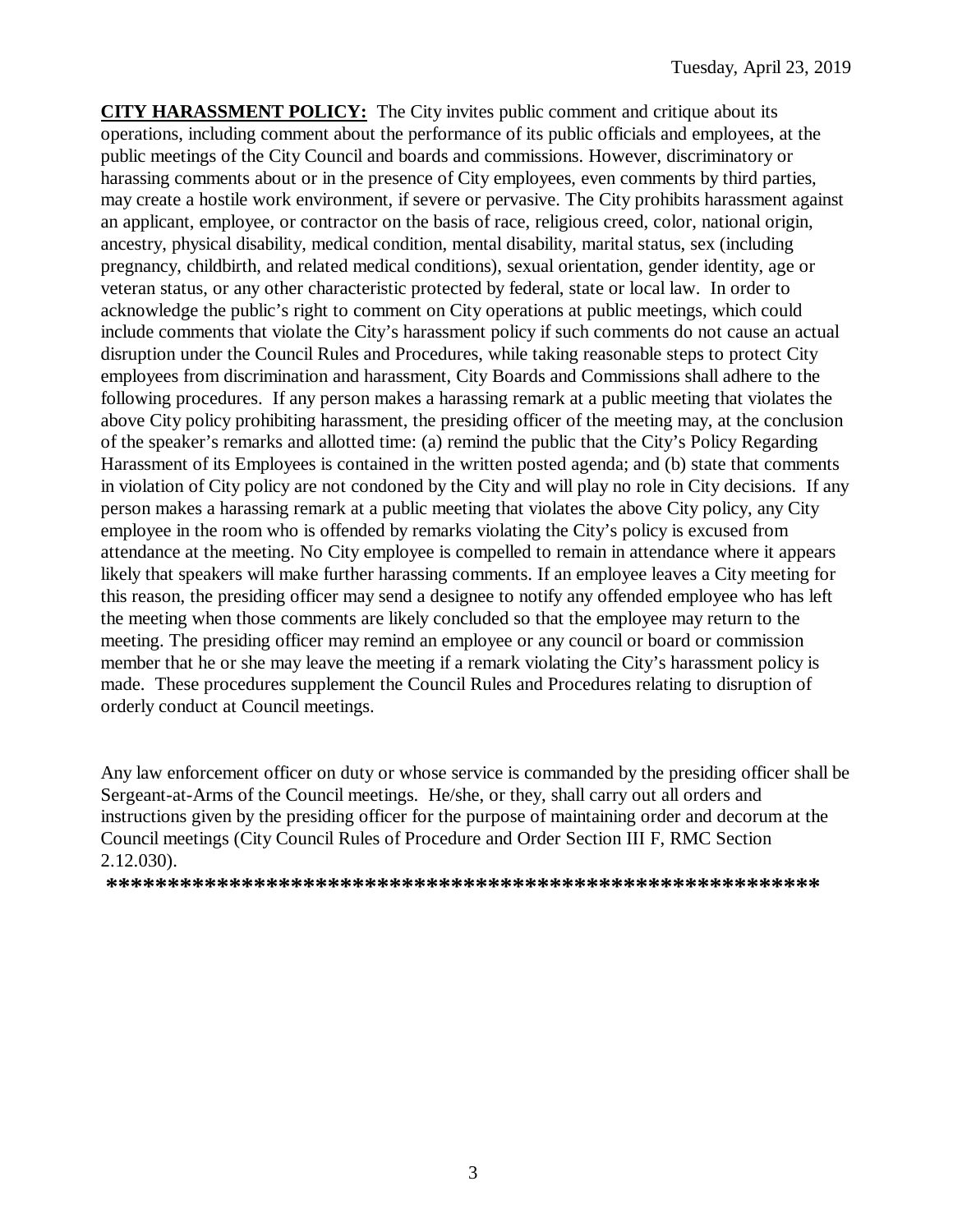**CITY HARASSMENT POLICY:** The City invites public comment and critique about its operations, including comment about the performance of its public officials and employees, at the public meetings of the City Council and boards and commissions. However, discriminatory or harassing comments about or in the presence of City employees, even comments by third parties, may create a hostile work environment, if severe or pervasive. The City prohibits harassment against an applicant, employee, or contractor on the basis of race, religious creed, color, national origin, ancestry, physical disability, medical condition, mental disability, marital status, sex (including pregnancy, childbirth, and related medical conditions), sexual orientation, gender identity, age or veteran status, or any other characteristic protected by federal, state or local law. In order to acknowledge the public's right to comment on City operations at public meetings, which could include comments that violate the City's harassment policy if such comments do not cause an actual disruption under the Council Rules and Procedures, while taking reasonable steps to protect City employees from discrimination and harassment, City Boards and Commissions shall adhere to the following procedures. If any person makes a harassing remark at a public meeting that violates the above City policy prohibiting harassment, the presiding officer of the meeting may, at the conclusion of the speaker's remarks and allotted time: (a) remind the public that the City's Policy Regarding Harassment of its Employees is contained in the written posted agenda; and (b) state that comments in violation of City policy are not condoned by the City and will play no role in City decisions. If any person makes a harassing remark at a public meeting that violates the above City policy, any City employee in the room who is offended by remarks violating the City's policy is excused from attendance at the meeting. No City employee is compelled to remain in attendance where it appears likely that speakers will make further harassing comments. If an employee leaves a City meeting for this reason, the presiding officer may send a designee to notify any offended employee who has left the meeting when those comments are likely concluded so that the employee may return to the meeting. The presiding officer may remind an employee or any council or board or commission member that he or she may leave the meeting if a remark violating the City's harassment policy is made. These procedures supplement the Council Rules and Procedures relating to disruption of orderly conduct at Council meetings.

Any law enforcement officer on duty or whose service is commanded by the presiding officer shall be Sergeant-at-Arms of the Council meetings. He/she, or they, shall carry out all orders and instructions given by the presiding officer for the purpose of maintaining order and decorum at the Council meetings (City Council Rules of Procedure and Order Section III F, RMC Section 2.12.030).

**\*\*\*\*\*\*\*\*\*\*\*\*\*\*\*\*\*\*\*\*\*\*\*\*\*\*\*\*\*\*\*\*\*\*\*\*\*\*\*\*\*\*\*\*\*\*\*\*\*\*\*\*\*\*\*\*\*\***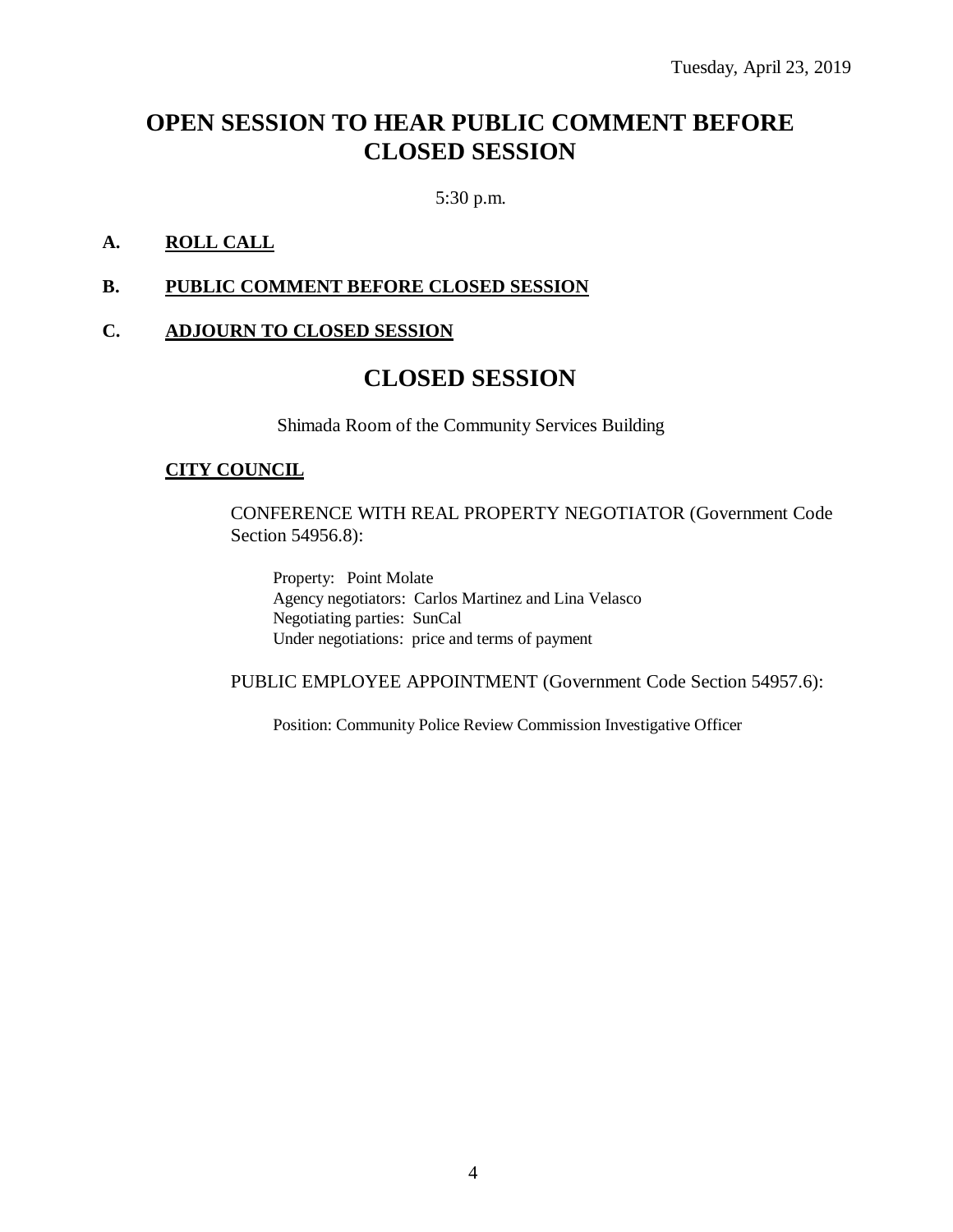## **OPEN SESSION TO HEAR PUBLIC COMMENT BEFORE CLOSED SESSION**

5:30 p.m.

### **A. ROLL CALL**

#### **B. PUBLIC COMMENT BEFORE CLOSED SESSION**

### **C. ADJOURN TO CLOSED SESSION**

### **CLOSED SESSION**

Shimada Room of the Community Services Building

#### **CITY COUNCIL**

CONFERENCE WITH REAL PROPERTY NEGOTIATOR (Government Code Section 54956.8):

Property: Point Molate Agency negotiators: Carlos Martinez and Lina Velasco Negotiating parties: SunCal Under negotiations: price and terms of payment

PUBLIC EMPLOYEE APPOINTMENT (Government Code Section 54957.6):

Position: Community Police Review Commission Investigative Officer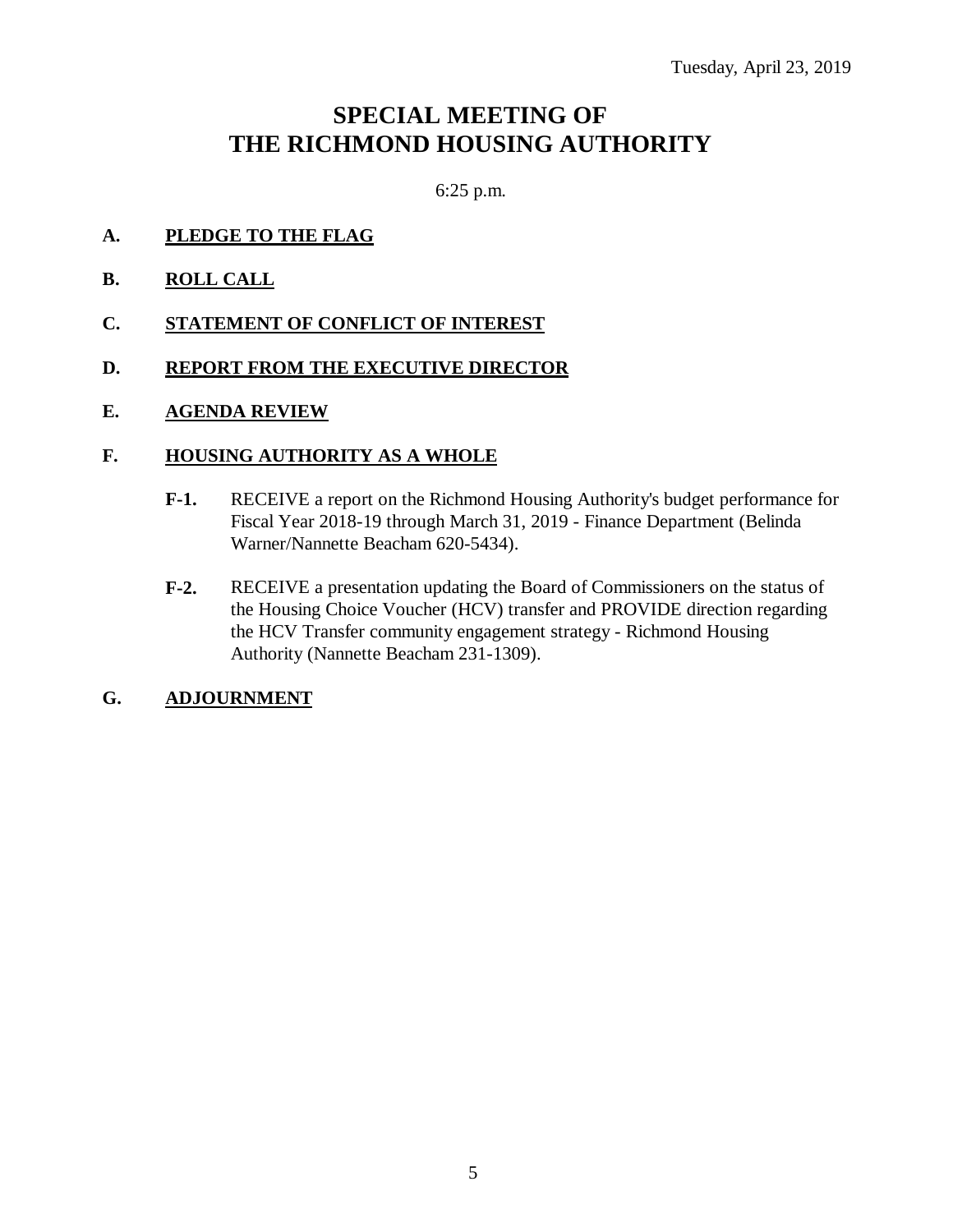## **SPECIAL MEETING OF THE RICHMOND HOUSING AUTHORITY**

6:25 p.m.

- **A. PLEDGE TO THE FLAG**
- **B. ROLL CALL**
- **C. STATEMENT OF CONFLICT OF INTEREST**
- **D. REPORT FROM THE EXECUTIVE DIRECTOR**
- **E. AGENDA REVIEW**

### **F. HOUSING AUTHORITY AS A WHOLE**

- **F-1.** RECEIVE a report on the Richmond Housing Authority's budget performance for Fiscal Year 2018-19 through March 31, 2019 - Finance Department (Belinda Warner/Nannette Beacham 620-5434).
- **F-2.** RECEIVE a presentation updating the Board of Commissioners on the status of the Housing Choice Voucher (HCV) transfer and PROVIDE direction regarding the HCV Transfer community engagement strategy - Richmond Housing Authority (Nannette Beacham 231-1309).

### **G. ADJOURNMENT**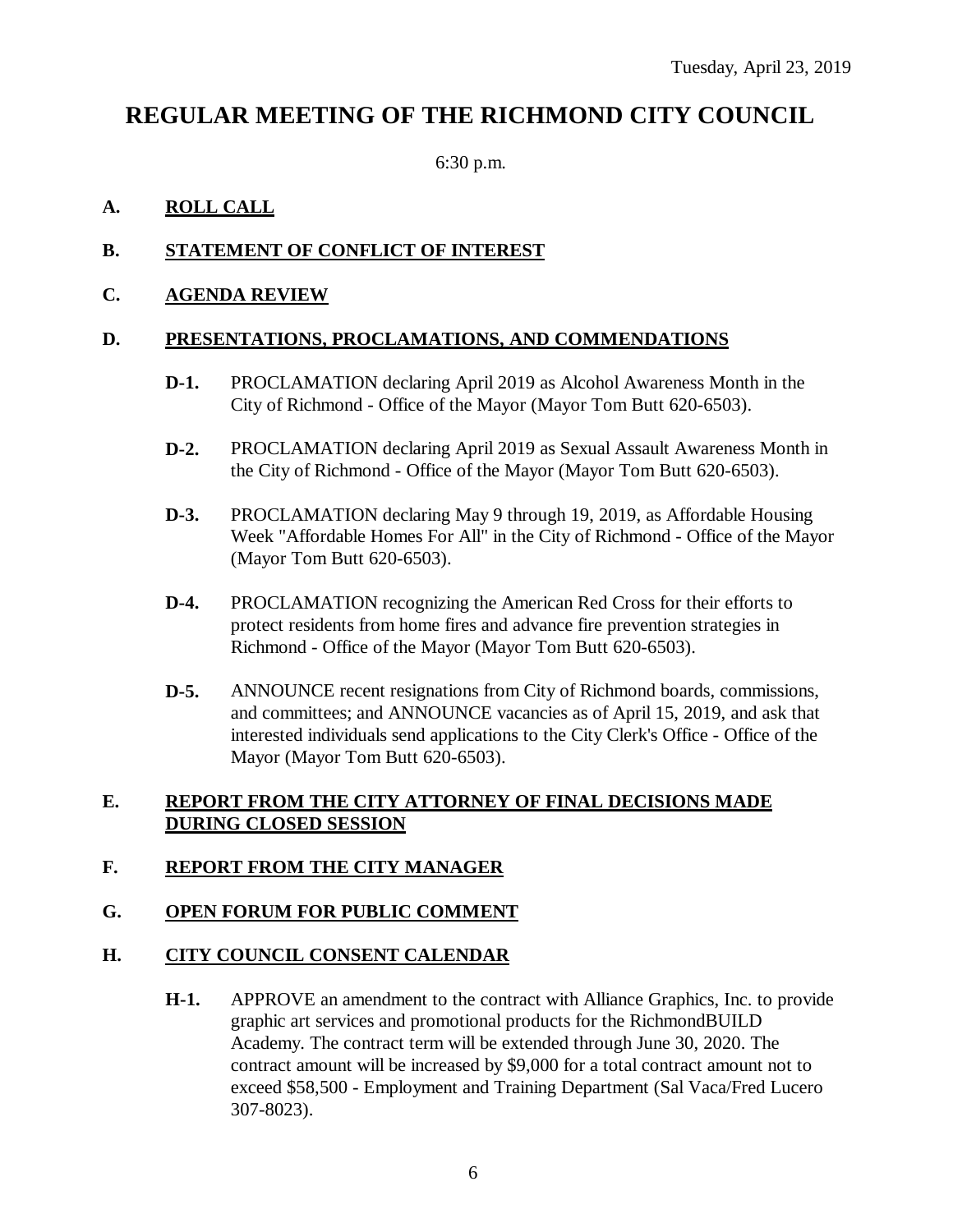## **REGULAR MEETING OF THE RICHMOND CITY COUNCIL**

6:30 p.m.

### **A. ROLL CALL**

### **B. STATEMENT OF CONFLICT OF INTEREST**

### **C. AGENDA REVIEW**

### **D. PRESENTATIONS, PROCLAMATIONS, AND COMMENDATIONS**

- **D-1.** PROCLAMATION declaring April 2019 as Alcohol Awareness Month in the City of Richmond - Office of the Mayor (Mayor Tom Butt 620-6503).
- **D-2.** PROCLAMATION declaring April 2019 as Sexual Assault Awareness Month in the City of Richmond - Office of the Mayor (Mayor Tom Butt 620-6503).
- **D-3.** PROCLAMATION declaring May 9 through 19, 2019, as Affordable Housing Week "Affordable Homes For All" in the City of Richmond - Office of the Mayor (Mayor Tom Butt 620-6503).
- **D-4.** PROCLAMATION recognizing the American Red Cross for their efforts to protect residents from home fires and advance fire prevention strategies in Richmond - Office of the Mayor (Mayor Tom Butt 620-6503).
- **D-5.** ANNOUNCE recent resignations from City of Richmond boards, commissions, and committees; and ANNOUNCE vacancies as of April 15, 2019, and ask that interested individuals send applications to the City Clerk's Office - Office of the Mayor (Mayor Tom Butt 620-6503).

### **E. REPORT FROM THE CITY ATTORNEY OF FINAL DECISIONS MADE DURING CLOSED SESSION**

### **F. REPORT FROM THE CITY MANAGER**

### **G. OPEN FORUM FOR PUBLIC COMMENT**

### **H. CITY COUNCIL CONSENT CALENDAR**

**H-1.** APPROVE an amendment to the contract with Alliance Graphics, Inc. to provide graphic art services and promotional products for the RichmondBUILD Academy. The contract term will be extended through June 30, 2020. The contract amount will be increased by \$9,000 for a total contract amount not to exceed \$58,500 - Employment and Training Department (Sal Vaca/Fred Lucero 307-8023).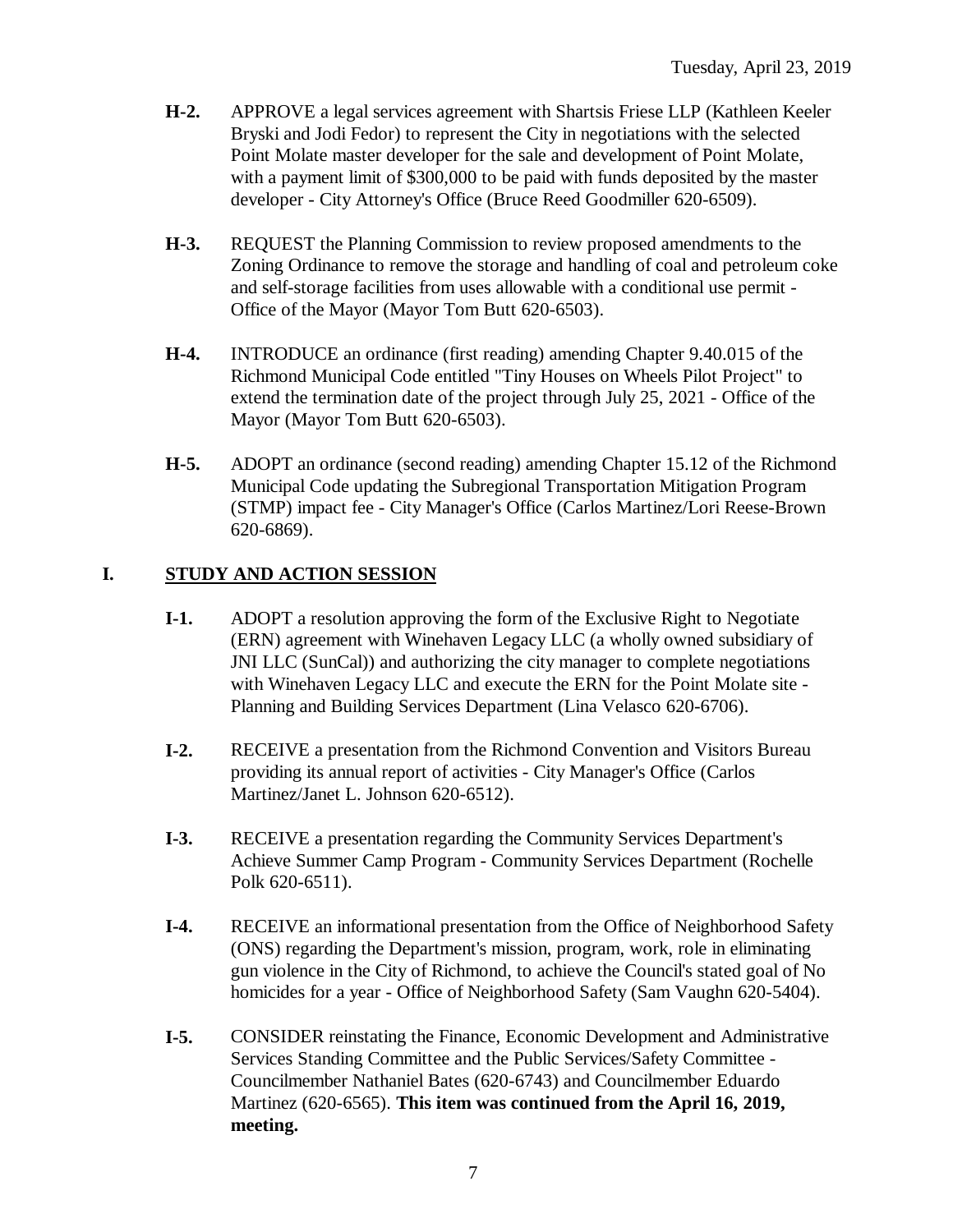- **H-2.** APPROVE a legal services agreement with Shartsis Friese LLP (Kathleen Keeler Bryski and Jodi Fedor) to represent the City in negotiations with the selected Point Molate master developer for the sale and development of Point Molate, with a payment limit of \$300,000 to be paid with funds deposited by the master developer - City Attorney's Office (Bruce Reed Goodmiller 620-6509).
- **H-3.** REQUEST the Planning Commission to review proposed amendments to the Zoning Ordinance to remove the storage and handling of coal and petroleum coke and self-storage facilities from uses allowable with a conditional use permit - Office of the Mayor (Mayor Tom Butt 620-6503).
- **H-4.** INTRODUCE an ordinance (first reading) amending Chapter 9.40.015 of the Richmond Municipal Code entitled "Tiny Houses on Wheels Pilot Project" to extend the termination date of the project through July 25, 2021 - Office of the Mayor (Mayor Tom Butt 620-6503).
- **H-5.** ADOPT an ordinance (second reading) amending Chapter 15.12 of the Richmond Municipal Code updating the Subregional Transportation Mitigation Program (STMP) impact fee - City Manager's Office (Carlos Martinez/Lori Reese-Brown 620-6869).

### **I. STUDY AND ACTION SESSION**

- **I-1.** ADOPT a resolution approving the form of the Exclusive Right to Negotiate (ERN) agreement with Winehaven Legacy LLC (a wholly owned subsidiary of JNI LLC (SunCal)) and authorizing the city manager to complete negotiations with Winehaven Legacy LLC and execute the ERN for the Point Molate site - Planning and Building Services Department (Lina Velasco 620-6706).
- **I-2.** RECEIVE a presentation from the Richmond Convention and Visitors Bureau providing its annual report of activities - City Manager's Office (Carlos Martinez/Janet L. Johnson 620-6512).
- **I-3.** RECEIVE a presentation regarding the Community Services Department's Achieve Summer Camp Program - Community Services Department (Rochelle Polk 620-6511).
- **I-4.** RECEIVE an informational presentation from the Office of Neighborhood Safety (ONS) regarding the Department's mission, program, work, role in eliminating gun violence in the City of Richmond, to achieve the Council's stated goal of No homicides for a year - Office of Neighborhood Safety (Sam Vaughn 620-5404).
- **I-5.** CONSIDER reinstating the Finance, Economic Development and Administrative Services Standing Committee and the Public Services/Safety Committee - Councilmember Nathaniel Bates (620-6743) and Councilmember Eduardo Martinez (620-6565). **This item was continued from the April 16, 2019, meeting.**